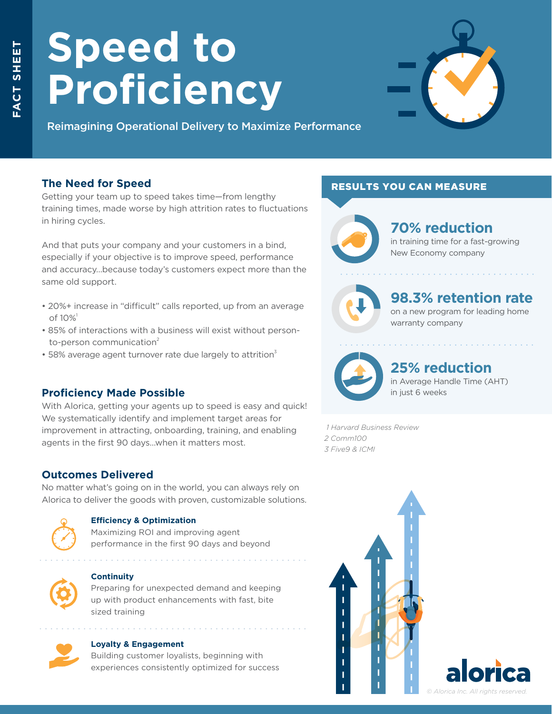# **Speed to Proficiency**



Reimagining Operational Delivery to Maximize Performance

# **The Need for Speed**

Getting your team up to speed takes time—from lengthy training times, made worse by high attrition rates to fluctuations in hiring cycles.

And that puts your company and your customers in a bind, especially if your objective is to improve speed, performance and accuracy…because today's customers expect more than the same old support.

- 20%+ increase in "difficult" calls reported, up from an average of  $10\%$ <sup>1</sup>
- 85% of interactions with a business will exist without person to-person communication $2$
- $\cdot$  58% average agent turnover rate due largely to attrition $\frac{3}{2}$

# **Proficiency Made Possible**

With Alorica, getting your agents up to speed is easy and quick! We systematically identify and implement target areas for improvement in attracting, onboarding, training, and enabling agents in the first 90 days…when it matters most.

# **Outcomes Delivered**

No matter what's going on in the world, you can always rely on Alorica to deliver the goods with proven, customizable solutions.



#### **Efficiency & Optimization**

Maximizing ROI and improving agent performance in the first 90 days and beyond



#### **Continuity**

Preparing for unexpected demand and keeping up with product enhancements with fast, bite sized training



#### **Loyalty & Engagement**

Building customer loyalists, beginning with experiences consistently optimized for success

## RESULTS YOU CAN MEASURE



# **70% reduction**

in training time for a fast-growing New Economy company



# **98.3% retention rate**

on a new program for leading home warranty company



# **25% reduction**

in Average Handle Time (AHT) in just 6 weeks

 *1 Harvard Business Review 2 Comm100 3 Five9 & ICMI*